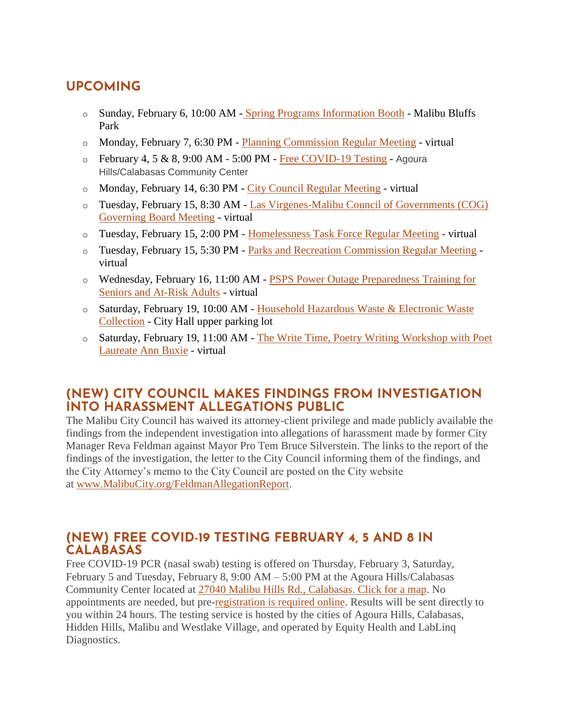# **UPCOMING**

- o Sunday, February 6, 10:00 AM [Spring Programs Information Booth](https://www.malibucity.org/Calendar.aspx?EID=6586&month=2&year=2022&day=6&calType=0) Malibu Bluffs Park
- o Monday, February 7, 6:30 PM [Planning Commission Regular Meeting](https://www.malibucity.org/Calendar.aspx?EID=6331&month=2&year=2022&day=7&calType=0) virtual
- $\circ$  February 4, 5 & 8, 9:00 AM 5:00 PM [Free COVID-19 Testing](https://lablinqportal.com/PatientSignup.aspx?LabId=451) Agoura Hills/Calabasas Community Center
- o Monday, February 14, 6:30 PM [City Council Regular Meeting](https://www.malibucity.org/Calendar.aspx?EID=6307&month=2&year=2022&day=14&calType=0) virtual
- o Tuesday, February 15, 8:30 AM [Las Virgenes-Malibu Council of Governments \(COG\)](https://www.malibucity.org/Calendar.aspx?EID=6251&month=2&year=2022&day=15&calType=0)  [Governing Board Meeting](https://www.malibucity.org/Calendar.aspx?EID=6251&month=2&year=2022&day=15&calType=0) - virtual
- o Tuesday, February 15, 2:00 PM [Homelessness Task Force Regular Meeting](https://www.malibucity.org/Calendar.aspx?EID=6227&month=2&year=2022&day=15&calType=0) virtual
- o Tuesday, February 15, 5:30 PM [Parks and Recreation Commission Regular Meeting](https://www.malibucity.org/Calendar.aspx?EID=6294&month=2&year=2022&day=15&calType=0) virtual
- o Wednesday, February 16, 11:00 AM [PSPS Power Outage Preparedness Training for](https://www.eventbrite.com/e/senior-psps-training-tickets-234404328657?aff=ebdsoporgprofile)  [Seniors and At-Risk Adults](https://www.eventbrite.com/e/senior-psps-training-tickets-234404328657?aff=ebdsoporgprofile) - virtual
- o Saturday, February 19, 10:00 AM [Household Hazardous Waste & Electronic Waste](https://www.malibucity.org/Calendar.aspx?EID=6102&month=2&year=2022&day=19&calType=0)  [Collection](https://www.malibucity.org/Calendar.aspx?EID=6102&month=2&year=2022&day=19&calType=0) - City Hall upper parking lot
- o Saturday, February 19, 11:00 AM The Write [Time, Poetry Writing Workshop with Poet](https://www.malibucity.org/Calendar.aspx?EID=6404&month=2&year=2022&day=19&calType=0)  [Laureate Ann Buxie](https://www.malibucity.org/Calendar.aspx?EID=6404&month=2&year=2022&day=19&calType=0) - virtual

# **(NEW) CITY COUNCIL MAKES FINDINGS FROM INVESTIGATION INTO HARASSMENT ALLEGATIONS PUBLIC**

The Malibu City Council has waived its attorney-client privilege and made publicly available the findings from the independent investigation into allegations of harassment made by former City Manager Reva Feldman against Mayor Pro Tem Bruce Silverstein. The links to the report of the findings of the investigation, the letter to the City Council informing them of the findings, and the City Attorney's memo to the City Council are posted on the City website at [www.MalibuCity.org/FeldmanAllegationReport.](http://www.malibucity.org/FeldmanAllegationReport)

# **(NEW) FREE COVID-19 TESTING FEBRUARY 4, 5 AND 8 IN CALABASAS**

Free COVID-19 PCR (nasal swab) testing is offered on Thursday, February 3, Saturday, February 5 and Tuesday, February 8, 9:00 AM – 5:00 PM at the Agoura Hills/Calabasas Community Center located at [27040 Malibu Hills Rd., Calabasas. Click for a map.](https://goo.gl/maps/fAvYKe5WCXZBurzn8) No appointments are needed, but pre[-registration is required online.](https://lablinqportal.com/PatientSignup.aspx?LabId=451) Results will be sent directly to you within 24 hours. The testing service is hosted by the cities of Agoura Hills, Calabasas, Hidden Hills, Malibu and Westlake Village, and operated by Equity Health and LabLinq Diagnostics.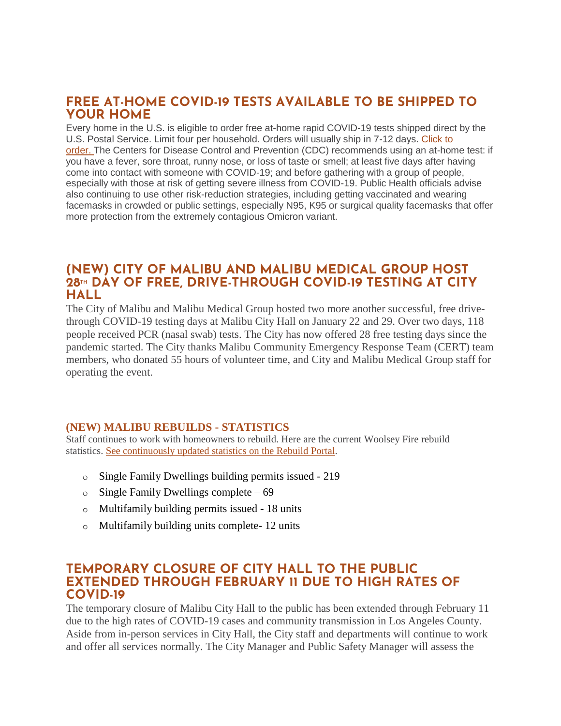# **FREE AT-HOME COVID-19 TESTS AVAILABLE TO BE SHIPPED TO YOUR HOME**

Every home in the U.S. is eligible to order free at-home rapid COVID-19 tests shipped direct by the U.S. Postal Service. Limit four per household. Orders will usually ship in 7-12 days. [Click to](https://special.usps.com/testkits)  [order.](https://special.usps.com/testkits) The Centers for Disease Control and Prevention (CDC) recommends using an at-home test: if you have a fever, sore throat, runny nose, or loss of taste or smell; at least five days after having come into contact with someone with COVID-19; and before gathering with a group of people, especially with those at risk of getting severe illness from COVID-19. Public Health officials advise also continuing to use other risk-reduction strategies, including getting vaccinated and wearing facemasks in crowded or public settings, especially N95, K95 or surgical quality facemasks that offer more protection from the extremely contagious Omicron variant.

# **(NEW) CITY OF MALIBU AND MALIBU MEDICAL GROUP HOST 28TH DAY OF FREE, DRIVE-THROUGH COVID-19 TESTING AT CITY HALL**

The City of Malibu and Malibu Medical Group hosted two more another successful, free drivethrough COVID-19 testing days at Malibu City Hall on January 22 and 29. Over two days, 118 people received PCR (nasal swab) tests. The City has now offered 28 free testing days since the pandemic started. The City thanks Malibu Community Emergency Response Team (CERT) team members, who donated 55 hours of volunteer time, and City and Malibu Medical Group staff for operating the event.

#### **(NEW) MALIBU REBUILDS - STATISTICS**

Staff continues to work with homeowners to rebuild. Here are the current Woolsey Fire rebuild statistics. See [continuously](https://malibupermits.ci.malibu.ca.us/WoolseyRebuildStats.aspx?returnId=901) updated statistics on the Rebuild Portal.

- o Single Family Dwellings building permits issued 219
- o Single Family Dwellings complete 69
- o Multifamily building permits issued 18 units
- o Multifamily building units complete- 12 units

# **TEMPORARY CLOSURE OF CITY HALL TO THE PUBLIC EXTENDED THROUGH FEBRUARY 11 DUE TO HIGH RATES OF COVID-19**

The temporary closure of Malibu City Hall to the public has been extended through February 11 due to the high rates of COVID-19 cases and community transmission in Los Angeles County. Aside from in-person services in City Hall, the City staff and departments will continue to work and offer all services normally. The City Manager and Public Safety Manager will assess the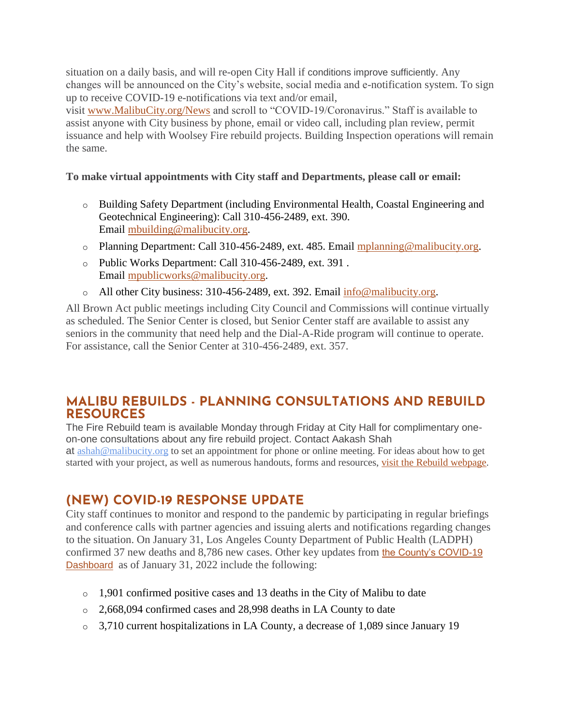situation on a daily basis, and will re-open City Hall if conditions improve sufficiently. Any changes will be announced on the City's website, social media and e-notification system. To sign up to receive COVID-19 e-notifications via text and/or email,

visit [www.MalibuCity.org/News](http://www.malibucity.org/News) and scroll to "COVID-19/Coronavirus." Staff is available to assist anyone with City business by phone, email or video call, including plan review, permit issuance and help with Woolsey Fire rebuild projects. Building Inspection operations will remain the same.

#### **To make virtual appointments with City staff and Departments, please call or email:**

- o Building Safety Department (including Environmental Health, Coastal Engineering and Geotechnical Engineering): Call 310-456-2489, ext. 390. Email [mbuilding@malibucity.org.](mailto:mbuilding@malibucity.org)
- o Planning Department: Call 310-456-2489, ext. 485. Email [mplanning@malibucity.org.](mailto:mplanning@malibucity.org)
- o Public Works Department: Call 310-456-2489, ext. 391 . Email [mpublicworks@malibucity.org.](mailto:mpublicworks@malibucity.org)
- o All other City business: 310-456-2489, ext. 392. Email [info@malibucity.org.](mailto:info@malibucity.org)

All Brown Act public meetings including City Council and Commissions will continue virtually as scheduled. The Senior Center is closed, but Senior Center staff are available to assist any seniors in the community that need help and the Dial-A-Ride program will continue to operate. For assistance, call the Senior Center at 310-456-2489, ext. 357.

# **MALIBU REBUILDS - PLANNING CONSULTATIONS AND REBUILD RESOURCES**

The Fire Rebuild team is available Monday through Friday at City Hall for complimentary oneon-one consultations about any fire rebuild project. Contact Aakash Shah at [ashah@malibucity.org](mailto:ashah@malibucity.org) to set an appointment for phone or online meeting. For ideas about how to get started with your project, as well as numerous handouts, forms and resources, visit the Rebuild [webpage.](https://www.malibucity.org/901/Malibu-Rebuilds)

# **(NEW) COVID-19 RESPONSE UPDATE**

City staff continues to monitor and respond to the pandemic by participating in regular briefings and conference calls with partner agencies and issuing alerts and notifications regarding changes to the situation. On January 31, Los Angeles County Department of Public Health (LADPH) confirmed 37 new deaths and 8,786 new cases. Other key updates from [the County's COVID-19](http://publichealth.lacounty.gov/media/coronavirus/data/index.htm)  [Dashboard](http://publichealth.lacounty.gov/media/coronavirus/data/index.htm) as of January 31, 2022 include the following:

- o 1,901 confirmed positive cases and 13 deaths in the City of Malibu to date
- o 2,668,094 confirmed cases and 28,998 deaths in LA County to date
- o 3,710 current hospitalizations in LA County, a decrease of 1,089 since January 19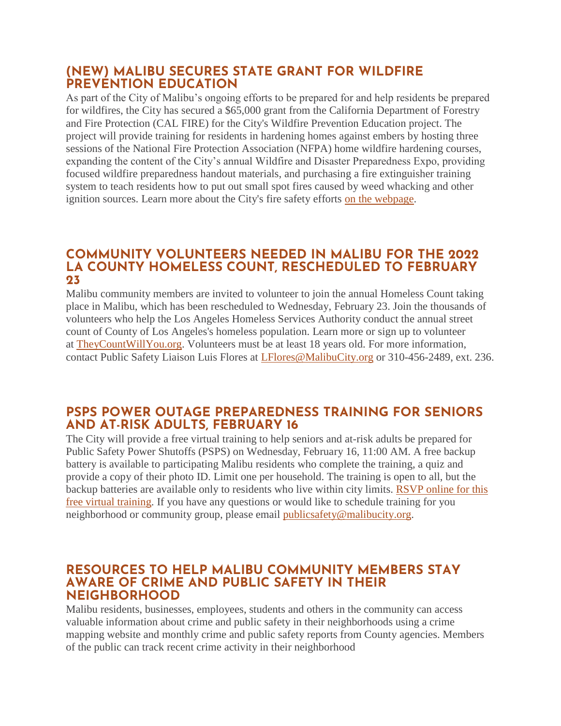# **(NEW) MALIBU SECURES STATE GRANT FOR WILDFIRE PREVENTION EDUCATION**

As part of the City of Malibu's ongoing efforts to be prepared for and help residents be prepared for wildfires, the City has secured a \$65,000 grant from the California Department of Forestry and Fire Protection (CAL FIRE) for the City's Wildfire Prevention Education project. The project will provide training for residents in hardening homes against embers by hosting three sessions of the National Fire Protection Association (NFPA) home wildfire hardening courses, expanding the content of the City's annual Wildfire and Disaster Preparedness Expo, providing focused wildfire preparedness handout materials, and purchasing a fire extinguisher training system to teach residents how to put out small spot fires caused by weed whacking and other ignition sources. Learn more about the City's fire safety efforts [on the webpage.](http://www.malibucity.org/FireSafety)

# **COMMUNITY VOLUNTEERS NEEDED IN MALIBU FOR THE 2022 LA COUNTY HOMELESS COUNT, RESCHEDULED TO FEBRUARY 23**

Malibu community members are invited to volunteer to join the annual Homeless Count taking place in Malibu, which has been rescheduled to Wednesday, February 23. Join the thousands of volunteers who help the Los Angeles Homeless Services Authority conduct the annual street count of County of Los Angeles's homeless population. Learn more or sign up to volunteer at [TheyCountWillYou.org.](https://www.theycountwillyou.org/) Volunteers must be at least 18 years old. For more information, contact Public Safety Liaison Luis Flores at [LFlores@MalibuCity.org](mailto:LFlores@MalibuCity.org) or 310-456-2489, ext. 236.

# **PSPS POWER OUTAGE PREPAREDNESS TRAINING FOR SENIORS AND AT-RISK ADULTS, FEBRUARY 16**

The City will provide a free virtual training to help seniors and at-risk adults be prepared for Public Safety Power Shutoffs (PSPS) on Wednesday, February 16, 11:00 AM. A free backup battery is available to participating Malibu residents who complete the training, a quiz and provide a copy of their photo ID. Limit one per household. The training is open to all, but the backup batteries are available only to residents who live within city limits. [RSVP online for this](http://malibusafety.eventbrite.com/)  [free virtual training.](http://malibusafety.eventbrite.com/) If you have any questions or would like to schedule training for you neighborhood or community group, please email [publicsafety@malibucity.org.](mailto:publicsafety@malibucity.org)

#### **RESOURCES TO HELP MALIBU COMMUNITY MEMBERS STAY AWARE OF CRIME AND PUBLIC SAFETY IN THEIR NEIGHBORHOOD**

Malibu residents, businesses, employees, students and others in the community can access valuable information about crime and public safety in their neighborhoods using a crime mapping website and monthly crime and public safety reports from County agencies. Members of the public can track recent crime activity in their neighborhood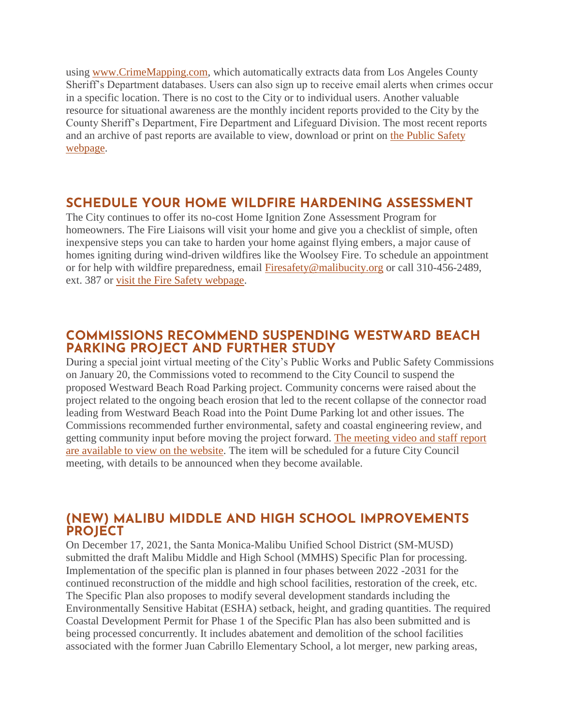using [www.CrimeMapping.com,](http://www.crimemapping.com/) which automatically extracts data from Los Angeles County Sheriff's Department databases. Users can also sign up to receive email alerts when crimes occur in a specific location. There is no cost to the City or to individual users. Another valuable resource for situational awareness are the monthly incident reports provided to the City by the County Sheriff's Department, Fire Department and Lifeguard Division. The most recent reports and an archive of past reports are available to view, download or print on [the Public Safety](https://www.malibucity.org/PublicSafety)  [webpage.](https://www.malibucity.org/PublicSafety)

# **SCHEDULE YOUR HOME WILDFIRE HARDENING ASSESSMENT**

The City continues to offer its no-cost Home Ignition Zone Assessment Program for homeowners. The Fire Liaisons will visit your home and give you a checklist of simple, often inexpensive steps you can take to harden your home against flying embers, a major cause of homes igniting during wind-driven wildfires like the Woolsey Fire. To schedule an appointment or for help with wildfire preparedness, email [Firesafety@malibucity.org](mailto:Firesafety@malibucity.org) or call 310-456-2489, ext. 387 or [visit the Fire Safety webpage.](https://www.malibucity.org/firesafety)

### **COMMISSIONS RECOMMEND SUSPENDING WESTWARD BEACH PARKING PROJECT AND FURTHER STUDY**

During a special joint virtual meeting of the City's Public Works and Public Safety Commissions on January 20, the Commissions voted to recommend to the City Council to suspend the proposed Westward Beach Road Parking project. Community concerns were raised about the project related to the ongoing beach erosion that led to the recent collapse of the connector road leading from Westward Beach Road into the Point Dume Parking lot and other issues. The Commissions recommended further environmental, safety and coastal engineering review, and getting community input before moving the project forward. [The meeting video and staff report](https://malibucity.primegov.com/Portal/Meeting?compiledMeetingDocumentFileId=2317)  [are available to view on the website.](https://malibucity.primegov.com/Portal/Meeting?compiledMeetingDocumentFileId=2317) The item will be scheduled for a future City Council meeting, with details to be announced when they become available.

# **(NEW) MALIBU MIDDLE AND HIGH SCHOOL IMPROVEMENTS PROJECT**

On December 17, 2021, the Santa Monica-Malibu Unified School District (SM-MUSD) submitted the draft Malibu Middle and High School (MMHS) Specific Plan for processing. Implementation of the specific plan is planned in four phases between 2022 -2031 for the continued reconstruction of the middle and high school facilities, restoration of the creek, etc. The Specific Plan also proposes to modify several development standards including the Environmentally Sensitive Habitat (ESHA) setback, height, and grading quantities. The required Coastal Development Permit for Phase 1 of the Specific Plan has also been submitted and is being processed concurrently. It includes abatement and demolition of the school facilities associated with the former Juan Cabrillo Elementary School, a lot merger, new parking areas,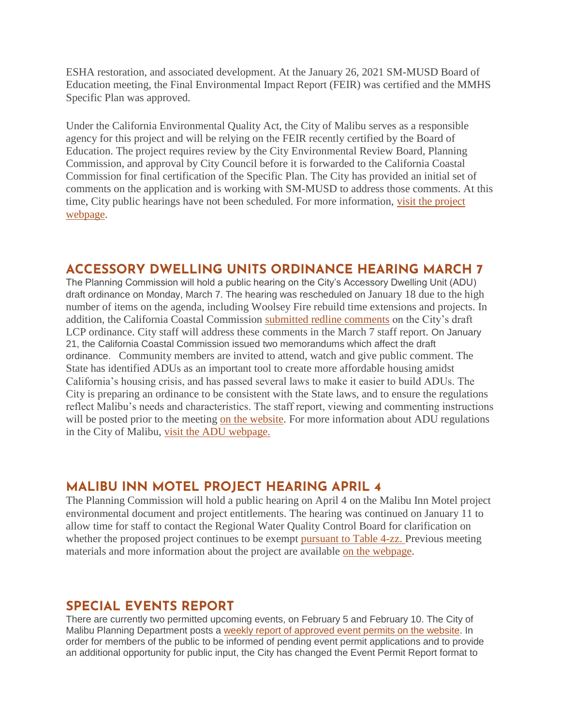ESHA restoration, and associated development. At the January 26, 2021 SM-MUSD Board of Education meeting, the Final Environmental Impact Report (FEIR) was certified and the MMHS Specific Plan was approved.

Under the California Environmental Quality Act, the City of Malibu serves as a responsible agency for this project and will be relying on the FEIR recently certified by the Board of Education. The project requires review by the City Environmental Review Board, Planning Commission, and approval by City Council before it is forwarded to the California Coastal Commission for final certification of the Specific Plan. The City has provided an initial set of comments on the application and is working with SM-MUSD to address those comments. At this time, City public hearings have not been scheduled. For more information, [visit the project](https://malibucity.org/397/Malibu-Middle-High-School-Improvements)  [webpage.](https://malibucity.org/397/Malibu-Middle-High-School-Improvements)

# **ACCESSORY DWELLING UNITS ORDINANCE HEARING MARCH 7**

The Planning Commission will hold a public hearing on the City's Accessory Dwelling Unit (ADU) draft ordinance on Monday, March 7. The hearing was rescheduled on January 18 due to the high number of items on the agenda, including Woolsey Fire rebuild time extensions and projects. In addition, the California Coastal Commission [submitted redline comments](https://malibucity.org/DocumentCenter/View/29239/PC220118_Item-4D_Correspondence_CCC) on the City's draft LCP ordinance. City staff will address these comments in the March 7 staff report. On January 21, the California Coastal Commission issued two memorandums which affect the draft ordinance. Community members are invited to attend, watch and give public comment. The State has identified ADUs as an important tool to create more affordable housing amidst California's housing crisis, and has passed several laws to make it easier to build ADUs. The City is preparing an ordinance to be consistent with the State laws, and to ensure the regulations reflect Malibu's needs and characteristics. The staff report, viewing and commenting instructions will be posted prior to the meeting [on the website.](http://www.malibucity.org/virtualmeeting) For more information about ADU regulations in the City of Malibu, [visit the ADU webpage.](https://www.malibucity.org/adu)

#### **MALIBU INN MOTEL PROJECT HEARING APRIL 4**

The Planning Commission will hold a public hearing on April 4 on the Malibu Inn Motel project environmental document and project entitlements. The hearing was continued on January 11 to allow time for staff to contact the Regional Water Quality Control Board for clarification on whether the proposed project continues to be exempt [pursuant to Table 4-zz.](https://malibucity.org/DocumentCenter/View/29241/Table4-zzResolutionR14-003) Previous meeting materials and more information about the project are available [on the webpage.](https://www.malibucity.org/810/Malibu-Inn-Motel)

# **SPECIAL EVENTS REPORT**

There are currently two permitted upcoming events, on February 5 and February 10. The City of Malibu Planning Department posts a [weekly report of approved event permits on the website.](https://www.malibucity.org/DocumentCenter/View/24661/Permitted-Events) In order for members of the public to be informed of pending event permit applications and to provide an additional opportunity for public input, the City has changed the Event Permit Report format to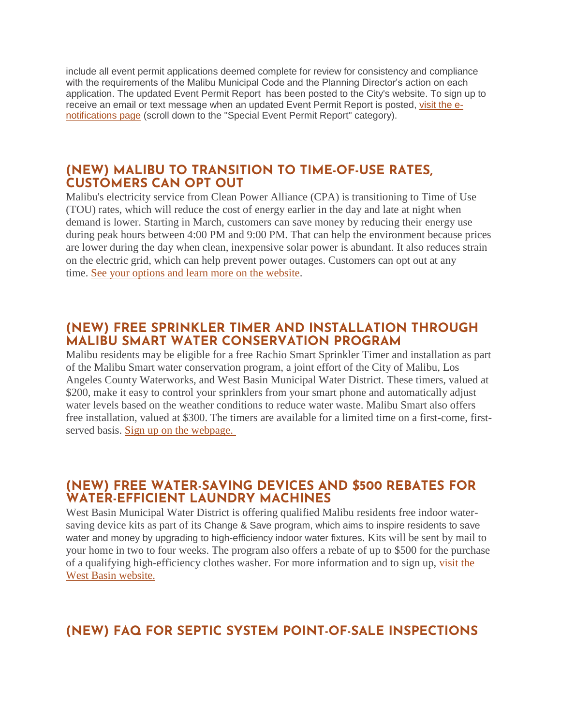include all event permit applications deemed complete for review for consistency and compliance with the requirements of the Malibu Municipal Code and the Planning Director's action on each application. The updated Event Permit Report has been posted to the City's website. To sign up to receive an email or text message when an updated Event Permit Report is posted, [visit the e](https://www.malibucity.org/news)[notifications page](https://www.malibucity.org/news) (scroll down to the "Special Event Permit Report" category).

# **(NEW) MALIBU TO TRANSITION TO TIME-OF-USE RATES, CUSTOMERS CAN OPT OUT**

Malibu's electricity service from Clean Power Alliance (CPA) is transitioning to Time of Use (TOU) rates, which will reduce the cost of energy earlier in the day and late at night when demand is lower. Starting in March, customers can save money by reducing their energy use during peak hours between 4:00 PM and 9:00 PM. That can help the environment because prices are lower during the day when clean, inexpensive solar power is abundant. It also reduces strain on the electric grid, which can help prevent power outages. Customers can opt out at any time. [See your options and learn more on the website.](http://cleanpoweralliance.org/TimeMatters)

# **(NEW) FREE SPRINKLER TIMER AND INSTALLATION THROUGH MALIBU SMART WATER CONSERVATION PROGRAM**

Malibu residents may be eligible for a free Rachio Smart Sprinkler Timer and installation as part of the Malibu Smart water conservation program, a joint effort of the City of Malibu, Los Angeles County Waterworks, and West Basin Municipal Water District. These timers, valued at \$200, make it easy to control your sprinklers from your smart phone and automatically adjust water levels based on the weather conditions to reduce water waste. Malibu Smart also offers free installation, valued at \$300. The timers are available for a limited time on a first-come, firstserved basis. [Sign up on the webpage.](https://1num06zo47s.typeform.com/to/TA28QGIC)

# **(NEW) FREE WATER-SAVING DEVICES AND \$500 REBATES FOR WATER-EFFICIENT LAUNDRY MACHINES**

West Basin Municipal Water District is offering qualified Malibu residents free indoor watersaving device kits as part of its Change & Save program, which aims to inspire residents to save water and money by upgrading to high-efficiency indoor water fixtures. Kits will be sent by mail to your home in two to four weeks. The program also offers a rebate of up to \$500 for the purchase of a qualifying high-efficiency clothes washer. For more information and to sign up, [visit the](https://www.westbasin.org/conservation/conservation-programs/change-and-save/)  [West Basin website.](https://www.westbasin.org/conservation/conservation-programs/change-and-save/)

# **(NEW) FAQ FOR SEPTIC SYSTEM POINT-OF-SALE INSPECTIONS**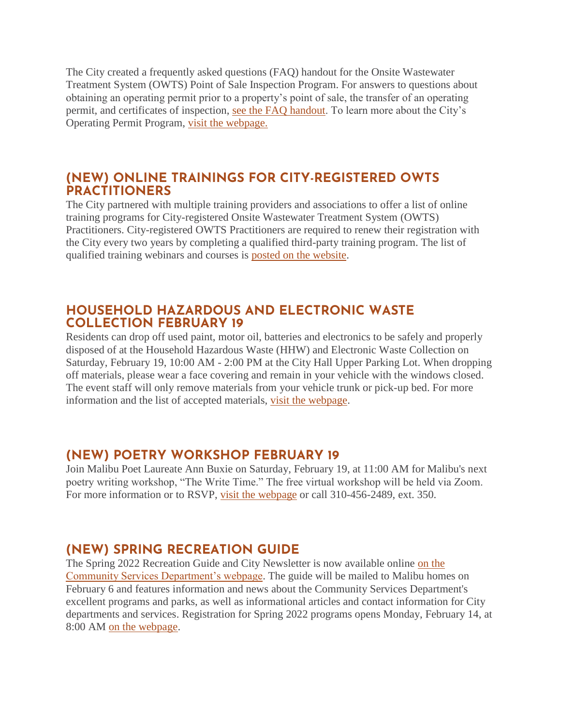The City created a frequently asked questions (FAQ) handout for the Onsite Wastewater Treatment System (OWTS) Point of Sale Inspection Program. For answers to questions about obtaining an operating permit prior to a property's point of sale, the transfer of an operating permit, and certificates of inspection, [see the FAQ handout.](https://www.malibucity.org/DocumentCenter/View/29289/Point-of-Sale-Inspections) To learn more about the City's Operating Permit Program, [visit the webpage.](https://www.malibucity.org/515/Operating-Permit-Program)

# **(NEW) ONLINE TRAININGS FOR CITY-REGISTERED OWTS PRACTITIONERS**

The City partnered with multiple training providers and associations to offer a list of online training programs for City-registered Onsite Wastewater Treatment System (OWTS) Practitioners. City-registered OWTS Practitioners are required to renew their registration with the City every two years by completing a qualified third-party training program. The list of qualified training webinars and courses is [posted on the website.](https://www.malibucity.org/DocumentCenter/View/28348/OWTS-Registered-Practitioner-Training)

# **HOUSEHOLD HAZARDOUS AND ELECTRONIC WASTE COLLECTION FEBRUARY 19**

Residents can drop off used paint, motor oil, batteries and electronics to be safely and properly disposed of at the Household Hazardous Waste (HHW) and Electronic Waste Collection on Saturday, February 19, 10:00 AM - 2:00 PM at the City Hall Upper Parking Lot. When dropping off materials, please wear a face covering and remain in your vehicle with the windows closed. The event staff will only remove materials from your vehicle trunk or pick-up bed. For more information and the list of accepted materials, [visit the webpage.](https://www.malibucity.org/Calendar.aspx?EID=6102)

# **(NEW) POETRY WORKSHOP FEBRUARY 19**

Join Malibu Poet Laureate Ann Buxie on Saturday, February 19, at 11:00 AM for Malibu's next poetry writing workshop, "The Write Time." The free virtual workshop will be held via Zoom. For more information or to RSVP, [visit the webpage](http://malibucity.org/poetry) or call 310-456-2489, ext. 350.

# **(NEW) SPRING RECREATION GUIDE**

The Spring 2022 Recreation Guide and City Newsletter is now available online [on the](http://malibucity.org/CommunityServices)  [Community Services Department's webpage.](http://malibucity.org/CommunityServices) The guide will be mailed to Malibu homes on February 6 and features information and news about the Community Services Department's excellent programs and parks, as well as informational articles and contact information for City departments and services. Registration for Spring 2022 programs opens Monday, February 14, at 8:00 AM [on the webpage.](http://malibucity.org/register)